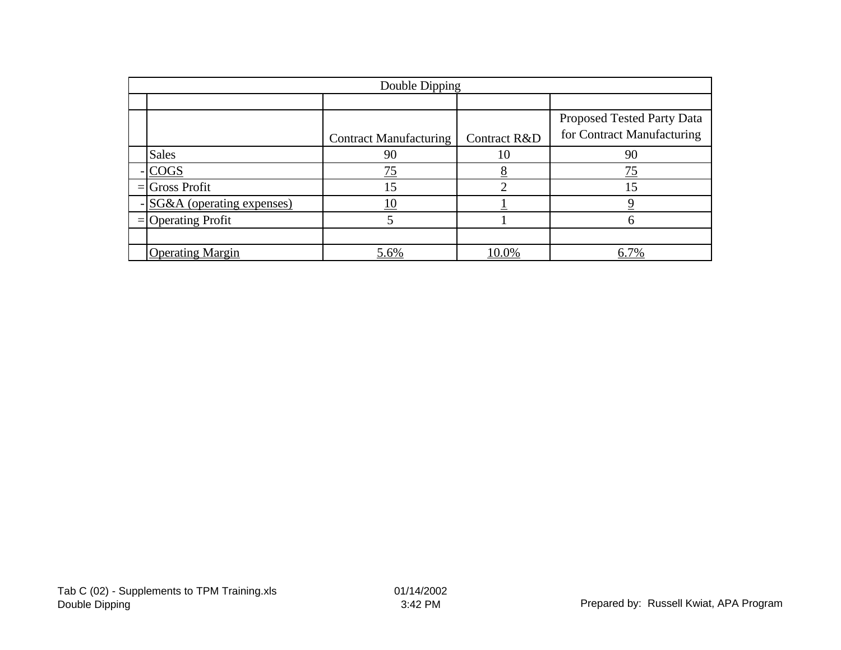| Double Dipping             |                               |              |                            |  |  |  |  |
|----------------------------|-------------------------------|--------------|----------------------------|--|--|--|--|
|                            |                               |              |                            |  |  |  |  |
|                            |                               |              | Proposed Tested Party Data |  |  |  |  |
|                            | <b>Contract Manufacturing</b> | Contract R&D | for Contract Manufacturing |  |  |  |  |
| <b>Sales</b>               | 90                            | 10           | 90                         |  |  |  |  |
| $-COGS$                    | 75                            |              | 75                         |  |  |  |  |
| $=$ Gross Profit           | 15                            | ⌒            | 15                         |  |  |  |  |
| -SG&A (operating expenses) |                               |              |                            |  |  |  |  |
| $=$ Operating Profit       |                               |              | h                          |  |  |  |  |
|                            |                               |              |                            |  |  |  |  |
| <b>Operating Margin</b>    | 5.6%                          | 10.0%        | 6.7%                       |  |  |  |  |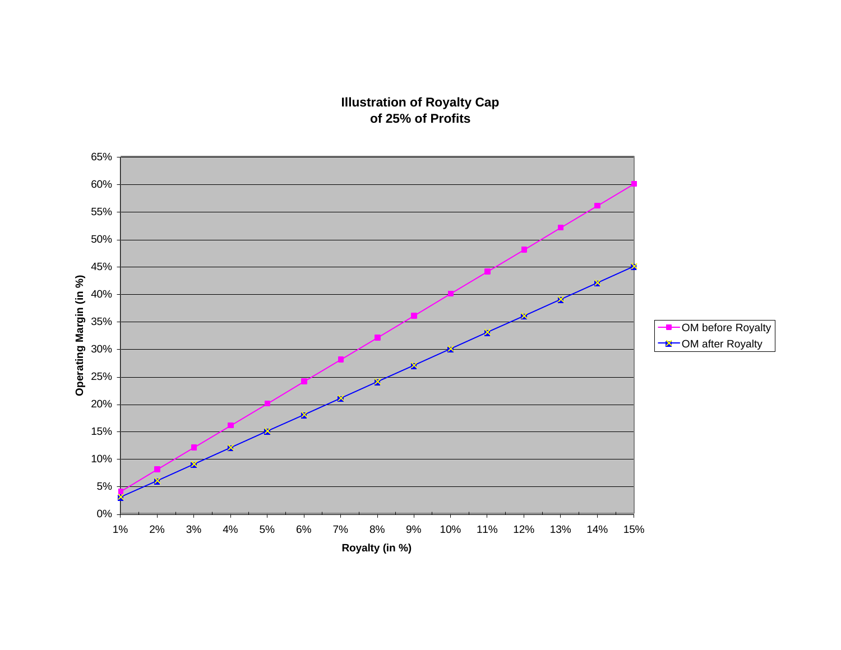## **Illustration of Royalty Cap of 25% of Profits**

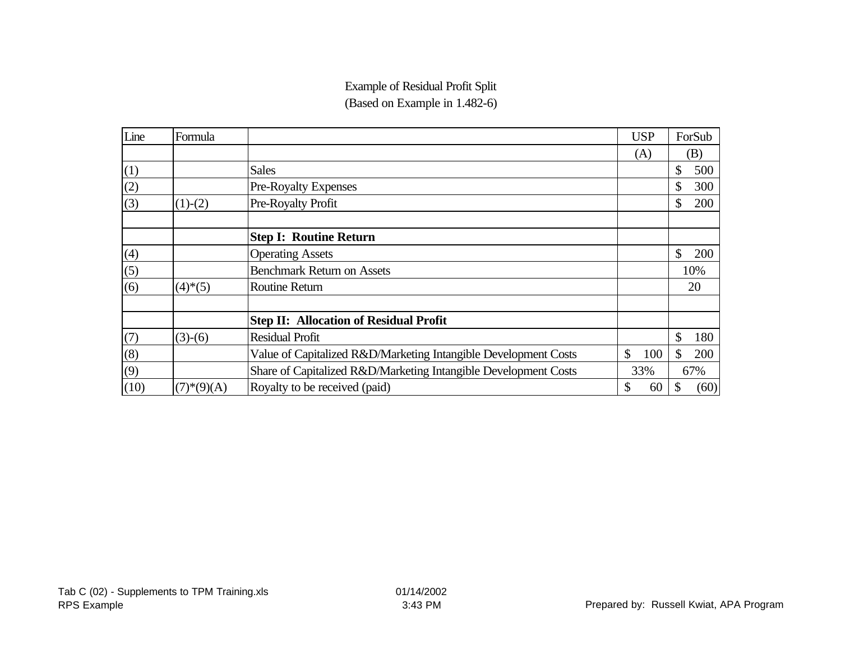# Example of Residual Profit Split

(Based on Example in 1.482-6)

| Line | Formula      |                                                                 | <b>USP</b> |    | ForSub |
|------|--------------|-----------------------------------------------------------------|------------|----|--------|
|      |              |                                                                 | (A)        |    | (B)    |
| (1)  |              | <b>Sales</b>                                                    |            | \$ | 500    |
| (2)  |              | Pre-Royalty Expenses                                            |            | \$ | 300    |
| (3)  | $(1)-(2)$    | Pre-Royalty Profit                                              |            | \$ | 200    |
|      |              | <b>Step I: Routine Return</b>                                   |            |    |        |
| (4)  |              | <b>Operating Assets</b>                                         |            | \$ | 200    |
| (5)  |              | <b>Benchmark Return on Assets</b>                               |            |    | 10%    |
| (6)  | $(4)*(5)$    | <b>Routine Return</b>                                           |            |    | 20     |
|      |              | <b>Step II: Allocation of Residual Profit</b>                   |            |    |        |
| (7)  | $(3)-(6)$    | <b>Residual Profit</b>                                          |            | \$ | 180    |
| (8)  |              | Value of Capitalized R&D/Marketing Intangible Development Costs | \$<br>100  | \$ | 200    |
| (9)  |              | Share of Capitalized R&D/Marketing Intangible Development Costs | 33%<br>67% |    |        |
| (10) | $(7)*(9)(A)$ | Royalty to be received (paid)                                   | \$<br>60   | \$ | (60)   |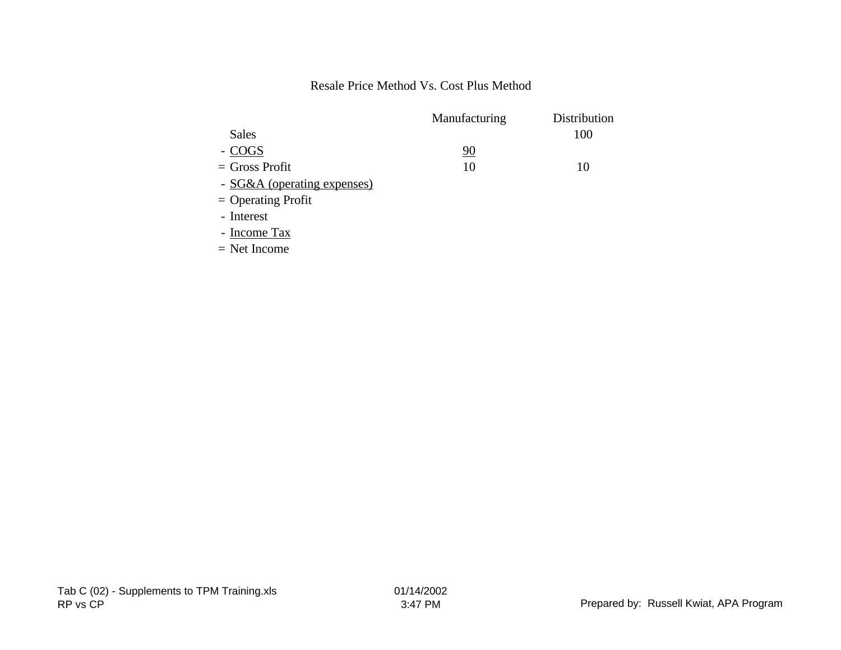### Resale Price Method Vs. Cost Plus Method

|                             | Manufacturing | Distribution |
|-----------------------------|---------------|--------------|
| Sales                       |               | 100          |
| - COGS                      | 90            |              |
| $=$ Gross Profit            | 10            | 10           |
| - SG&A (operating expenses) |               |              |
| $=$ Operating Profit        |               |              |
| - Interest                  |               |              |
|                             |               |              |

- Income Tax

= Net Income